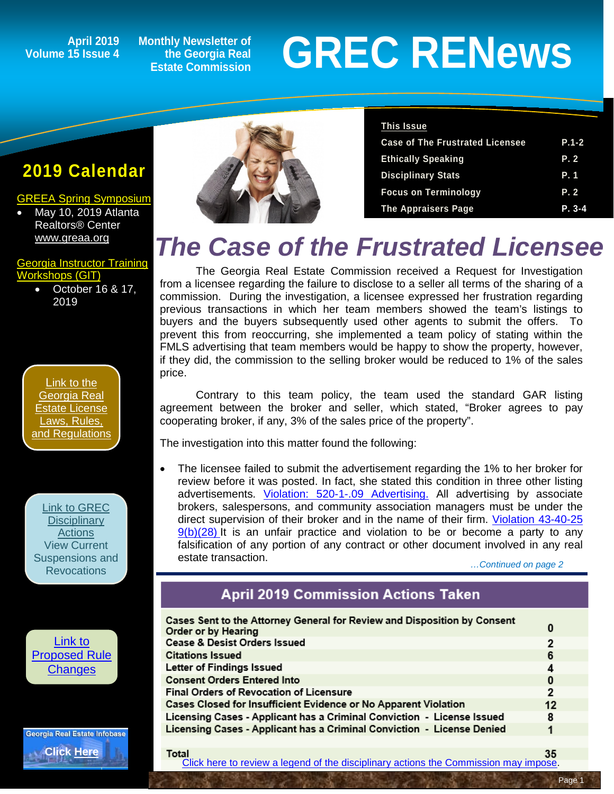### **Volume 15 Issue 4**

**Monthly Newsletter of the Georgia Real Estate Commission**

# April 2019 Monthly Newsletter of<br>15 Issue 4 the Georgia Real **GREC RENEWS**

### **2019 Calendar**

#### [GREEA Spring Symposium](http://www.greea.org/)

• May 10, 2019 Atlanta Realtors® Center [www.greaa.org](http://www.greaa.org/)

#### [Georgia Instructor Training](http://www.grec-git.com/Instructor-Training/Current-GIT-Class-Sched)  [Workshops \(GIT\)](http://www.grec-git.com/Instructor-Training/Current-GIT-Class-Sched)

• October 16 & 17, 2019



[Link to GREC](http://www.grec.state.ga.us/about/resanctions.html)  **Disciplinary [Actions](http://www.grec.state.ga.us/about/resanctions.html)** View Current [Suspensions and](http://www.grec.state.ga.us/about/resanctions.html)  **Revocations** 







| <b>This Issue</b>                      |            |
|----------------------------------------|------------|
| <b>Case of The Frustrated Licensee</b> | $P.1 - 2$  |
| <b>Ethically Speaking</b>              | P. 2       |
| <b>Disciplinary Stats</b>              | P. 1       |
| <b>Focus on Terminology</b>            | P. 2       |
| <b>The Appraisers Page</b>             | $P. 3 - 4$ |

### *The Case of the Frustrated Licensee*

The Georgia Real Estate Commission received a Request for Investigation from a licensee regarding the failure to disclose to a seller all terms of the sharing of a commission. During the investigation, a licensee expressed her frustration regarding previous transactions in which her team members showed the team's listings to buyers and the buyers subsequently used other agents to submit the offers. To prevent this from reoccurring, she implemented a team policy of stating within the FMLS advertising that team members would be happy to show the property, however, if they did, the commission to the selling broker would be reduced to 1% of the sales price.

Contrary to this team policy, the team used the standard GAR listing agreement between the broker and seller, which stated, "Broker agrees to pay cooperating broker, if any, 3% of the sales price of the property".

The investigation into this matter found the following:

The licensee failed to submit the advertisement regarding the 1% to her broker for review before it was posted. In fact, she stated this condition in three other listing advertisements. [Violation: 520-1-.09 Advertising.](http://grec.state.ga.us/about/relaw.html) All advertising by associate brokers, salespersons, and community association managers must be under the direct supervision of their broker and in the name of their firm. [Violation 43-40-25](http://grec.state.ga.us/about/relaw.html)   $9(b)(28)$  It is an unfair practice and violation to be or become a party to any falsification of any portion of any contract or other document involved in any real estate transaction. *…Continued on page 2*

### **April 2019 Commission Actions Taken**

| Cases Sent to the Attorney General for Review and Disposition by Consent<br>Order or by Hearing | 0              |
|-------------------------------------------------------------------------------------------------|----------------|
| <b>Cease &amp; Desist Orders Issued</b>                                                         | 2              |
| <b>Citations Issued</b>                                                                         | 6              |
| Letter of Findings Issued                                                                       | 4              |
| <b>Consent Orders Entered Into</b>                                                              | 0              |
| <b>Final Orders of Revocation of Licensure</b>                                                  | $\overline{2}$ |
| Cases Closed for Insufficient Evidence or No Apparent Violation                                 | 12             |
| Licensing Cases - Applicant has a Criminal Conviction - License Issued                          | 8              |
| Licensing Cases - Applicant has a Criminal Conviction - License Denied                          | 1              |
|                                                                                                 |                |

**Total** 35 [Click here to review a legend of the disciplinary actions the Commission may impose.](https://www.jmre.com/grec/GRECDisciplinaryTools.pdf)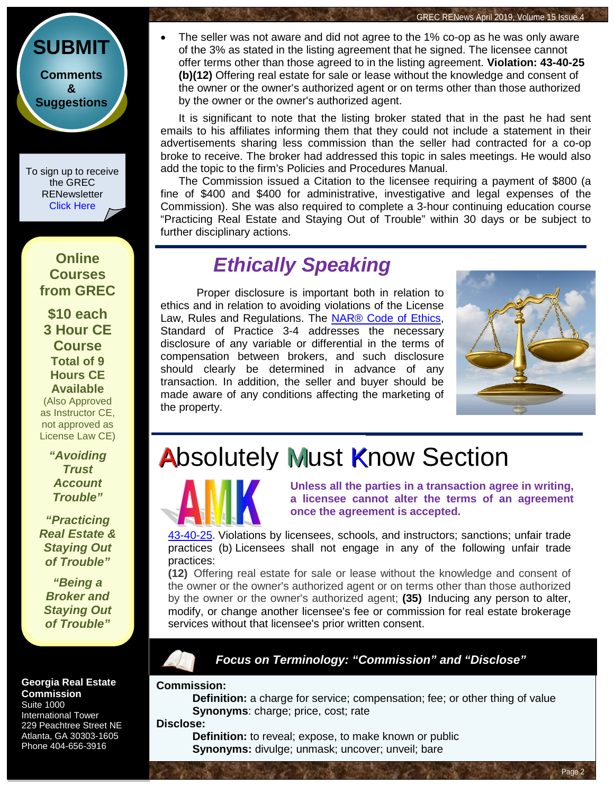**[Comments](http://www.jmre.com/grecrenewscomments2014.htm) [&](http://www.jmre.com/grecrenewscomments2014.htm) [Suggestions](http://www.jmre.com/grecrenewscomments2014.htm)**

**[SUBMIT](http://www.jmre.com/grecrenewscomments2014.htm)**

To sign up to receive the GREC **RENewsletter** [Click Here](https://www.grec.state.ga.us/about/subscribe.html)

### **Online Courses from GREC**

**[\\$10 each](http://www.jmre.com/grec) [3 Hour CE](http://www.jmre.com/grec)  [Course](http://www.jmre.com/grec) [Total of 9](http://www.jmre.com/grec)  [Hours CE](http://www.jmre.com/grec)  [Available](http://www.jmre.com/grec)** [\(Also Approved](http://www.jmre.com/grec)  [as Instructor CE,](http://www.jmre.com/grec)  [not approved as](http://www.jmre.com/grec)  [License Law CE\)](http://www.jmre.com/grec)

> *["Avoiding](http://www.jmre.com/grec)  [Trust](http://www.jmre.com/grec)  [Account](http://www.jmre.com/grec)  [Trouble"](http://www.jmre.com/grec)*

*["Practicing](http://www.jmre.com/grec)  [Real Estate &](http://www.jmre.com/grec)  [Staying Out](http://www.jmre.com/grec)  [of Trouble"](http://www.jmre.com/grec)*

*["Being a](http://www.jmre.com/grec)  [Broker and](http://www.jmre.com/grec)  [Staying Out](http://www.jmre.com/grec)  [of Trouble"](http://www.jmre.com/grec)*

**Georgia Real Estate Commission** Suite 1000 International Tower 229 Peachtree Street NE Atlanta, GA 30303-1605

Phone 404-656-3916

• The seller was not aware and did not agree to the 1% co-op as he was only aware of the 3% as stated in the listing agreement that he signed. The licensee cannot offer terms other than those agreed to in the listing agreement. **Violation: 43-40-25 (b)(12)** Offering real estate for sale or lease without the knowledge and consent of the owner or the owner's authorized agent or on terms other than those authorized by the owner or the owner's authorized agent.

It is significant to note that the listing broker stated that in the past he had sent emails to his affiliates informing them that they could not include a statement in their advertisements sharing less commission than the seller had contracted for a co-op broke to receive. The broker had addressed this topic in sales meetings. He would also add the topic to the firm's Policies and Procedures Manual.

The Commission issued a Citation to the licensee requiring a payment of \$800 (a fine of \$400 and \$400 for administrative, investigative and legal expenses of the Commission). She was also required to complete a 3-hour continuing education course "Practicing Real Estate and Staying Out of Trouble" within 30 days or be subject to further disciplinary actions.

### *Ethically Speaking*

Proper disclosure is important both in relation to ethics and in relation to avoiding violations of the License Law, Rules and Regulations. The NAR® [Code of Ethics,](https://www.nar.realtor/about-nar/governing-documents/code-of-ethics/2019-code-of-ethics-standards-of-practice#DutiestoCandC) Standard of Practice 3-4 addresses the necessary disclosure of any variable or differential in the terms of compensation between brokers, and such disclosure should clearly be determined in advance of any transaction. In addition, the seller and buyer should be made aware of any conditions affecting the marketing of the property.



Page 2

GREC RENews April 2019, Volume 15 Issue 4

### **Absolutely Must Know Section**



**Unless all the parties in a transaction agree in writing, a licensee cannot alter the terms of an agreement once the agreement is accepted.**

[43-40-25.](http://grec.state.ga.us/about/relaw.html) Violations by licensees, schools, and instructors; sanctions; unfair trade practices (b) Licensees shall not engage in any of the following unfair trade practices:

**(12)** Offering real estate for sale or lease without the knowledge and consent of the owner or the owner's authorized agent or on terms other than those authorized by the owner or the owner's authorized agent; **(35)** Inducing any person to alter, modify, or change another licensee's fee or commission for real estate brokerage services without that licensee's prior written consent.

### *Focus on Terminology: "Commission" and "Disclose"*

#### **Commission:**

**Definition:** a charge for service; compensation; fee; or other thing of value **Synonyms:** charge; price, cost; rate

#### **Disclose:**

**Definition:** to reveal; expose, to make known or public **Synonyms:** divulge; unmask; uncover; unveil; bare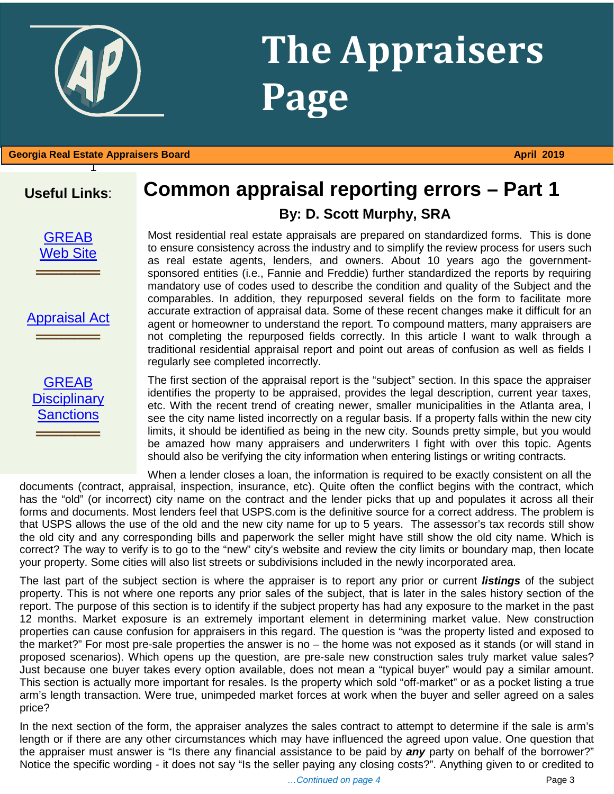## **The Appraisers Page**

1 **Georgia Real Estate Appraisers Board April 2019** 

### **Useful Links**:

**[GREAB](http://www.grec.state.ga.us/about/greab.html)** [Web Site](http://www.grec.state.ga.us/about/greab.html)

═════════════════<br>══════════════════

[Appraisal Act](http://www.grec.state.ga.us/about/appraisersact.html) ═════════════════<br>══════════════════

### **Common appraisal reporting errors – Part 1 By: D. Scott Murphy, SRA**

Most residential real estate appraisals are prepared on standardized forms. This is done to ensure consistency across the industry and to simplify the review process for users such as real estate agents, lenders, and owners. About 10 years ago the governmentsponsored entities (i.e., Fannie and Freddie) further standardized the reports by requiring mandatory use of codes used to describe the condition and quality of the Subject and the comparables. In addition, they repurposed several fields on the form to facilitate more accurate extraction of appraisal data. Some of these recent changes make it difficult for an agent or homeowner to understand the report. To compound matters, many appraisers are not completing the repurposed fields correctly. In this article I want to walk through a traditional residential appraisal report and point out areas of confusion as well as fields I regularly see completed incorrectly.

The first section of the appraisal report is the "subject" section. In this space the appraiser identifies the property to be appraised, provides the legal description, current year taxes, etc. With the recent trend of creating newer, smaller municipalities in the Atlanta area, I see the city name listed incorrectly on a regular basis. If a property falls within the new city limits, it should be identified as being in the new city. Sounds pretty simple, but you would be amazed how many appraisers and underwriters I fight with over this topic. Agents should also be verifying the city information when entering listings or writing contracts.

When a lender closes a loan, the information is required to be exactly consistent on all the documents (contract, appraisal, inspection, insurance, etc). Quite often the conflict begins with the contract, which has the "old" (or incorrect) city name on the contract and the lender picks that up and populates it across all their forms and documents. Most lenders feel that USPS.com is the definitive source for a correct address. The problem is that USPS allows the use of the old and the new city name for up to 5 years. The assessor's tax records still show the old city and any corresponding bills and paperwork the seller might have still show the old city name. Which is correct? The way to verify is to go to the "new" city's website and review the city limits or boundary map, then locate your property. Some cities will also list streets or subdivisions included in the newly incorporated area.

The last part of the subject section is where the appraiser is to report any prior or current *listings* of the subject property. This is not where one reports any prior sales of the subject, that is later in the sales history section of the report. The purpose of this section is to identify if the subject property has had any exposure to the market in the past 12 months. Market exposure is an extremely important element in determining market value. New construction properties can cause confusion for appraisers in this regard. The question is "was the property listed and exposed to the market?" For most pre-sale properties the answer is no – the home was not exposed as it stands (or will stand in proposed scenarios). Which opens up the question, are pre-sale new construction sales truly market value sales? Just because one buyer takes every option available, does not mean a "typical buyer" would pay a similar amount. This section is actually more important for resales. Is the property which sold "off-market" or as a pocket listing a true arm's length transaction. Were true, unimpeded market forces at work when the buyer and seller agreed on a sales price?

Notice the specific wording - it does not say "Is the seller paying any closing costs?". Anything given to or credited to In the next section of the form, the appraiser analyzes the sales contract to attempt to determine if the sale is arm's length or if there are any other circumstances which may have influenced the agreed upon value. One question that the appraiser must answer is "Is there any financial assistance to be paid by *any* party on behalf of the borrower?"

**GREAB Disciplinary** [Sanctions](http://www.grec.state.ga.us/about/apprsanctions.html)

═════════════════<br>══════════════════